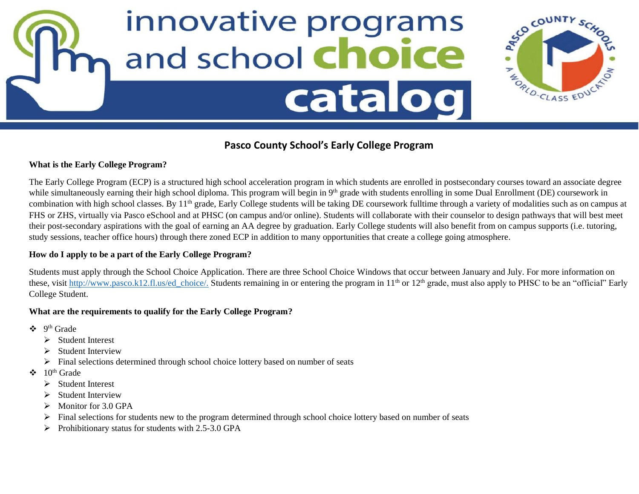



# **Pasco County School's Early College Program**

## **What is the Early College Program?**

The Early College Program (ECP) is a structured high school acceleration program in which students are enrolled in postsecondary courses toward an associate degree while simultaneously earning their high school diploma. This program will begin in 9<sup>th</sup> grade with students enrolling in some Dual Enrollment (DE) coursework in combination with high school classes. By 11<sup>th</sup> grade, Early College students will be taking DE coursework fulltime through a variety of modalities such as on campus at FHS or ZHS, virtually via Pasco eSchool and at PHSC (on campus and/or online). Students will collaborate with their counselor to design pathways that will best meet their post-secondary aspirations with the goal of earning an AA degree by graduation. Early College students will also benefit from on campus supports (i.e. tutoring, study sessions, teacher office hours) through there zoned ECP in addition to many opportunities that create a college going atmosphere.

## **How do I apply to be a part of the Early College Program?**

Students must apply through the School Choice Application. There are three School Choice Windows that occur between January and July. For more information on these, visit http://www.pasco.k12.fl.us/ed choice/. Students remaining in or entering the program in  $11<sup>th</sup>$  or  $12<sup>th</sup>$  grade, must also apply to PHSC to be an "official" Early College Student.

## **What are the requirements to qualify for the Early College Program?**

- $\div$  9<sup>th</sup> Grade
	- ➢ Student Interest
	- ➢ Student Interview
	- $\triangleright$  Final selections determined through school choice lottery based on number of seats
- $\div$  10<sup>th</sup> Grade
	- ➢ Student Interest
	- ➢ Student Interview
	- $\triangleright$  Monitor for 3.0 GPA
	- ➢ Final selections for students new to the program determined through school choice lottery based on number of seats
	- ➢ Prohibitionary status for students with 2.5-3.0 GPA